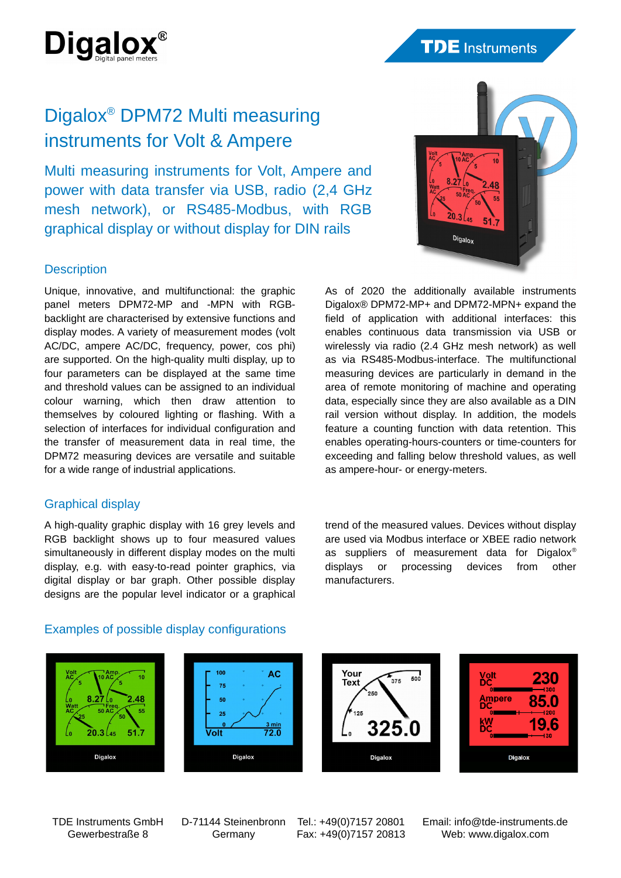

# Digalox® DPM72 Multi measuring instruments for Volt & Ampere

Multi measuring instruments for Volt, Ampere and power with data transfer via USB, radio (2,4 GHz mesh network), or RS485-Modbus, with RGB graphical display or without display for DIN rails

## **Description**

Unique, innovative, and multifunctional: the graphic panel meters DPM72-MP and -MPN with RGBbacklight are characterised by extensive functions and display modes. A variety of measurement modes (volt AC/DC, ampere AC/DC, frequency, power, cos phi) are supported. On the high-quality multi display, up to four parameters can be displayed at the same time and threshold values can be assigned to an individual colour warning, which then draw attention to themselves by coloured lighting or flashing. With a selection of interfaces for individual configuration and the transfer of measurement data in real time, the DPM72 measuring devices are versatile and suitable for a wide range of industrial applications.

## Graphical display

A high-quality graphic display with 16 grey levels and RGB backlight shows up to four measured values simultaneously in different display modes on the multi display, e.g. with easy-to-read pointer graphics, via digital display or bar graph. Other possible display designs are the popular level indicator or a graphical



As of 2020 the additionally available instruments Digalox® DPM72-MP+ and DPM72-MPN+ expand the field of application with additional interfaces: this enables continuous data transmission via USB or wirelessly via radio (2.4 GHz mesh network) as well as via RS485-Modbus-interface. The multifunctional measuring devices are particularly in demand in the area of remote monitoring of machine and operating data, especially since they are also available as a DIN rail version without display. In addition, the models feature a counting function with data retention. This enables operating-hours-counters or time-counters for exceeding and falling below threshold values, as well as ampere-hour- or energy-meters.

trend of the measured values. Devices without display are used via Modbus interface or XBEE radio network as suppliers of measurement data for Digalox® displays or processing devices from other manufacturers.

## Examples of possible display configurations



TDE Instruments GmbH Gewerbestraße 8

D-71144 Steinenbronn Germany

Tel.: +49(0)7157 20801 Fax: +49(0)7157 20813 Email: info@tde-instruments.de Web: www.digalox.com